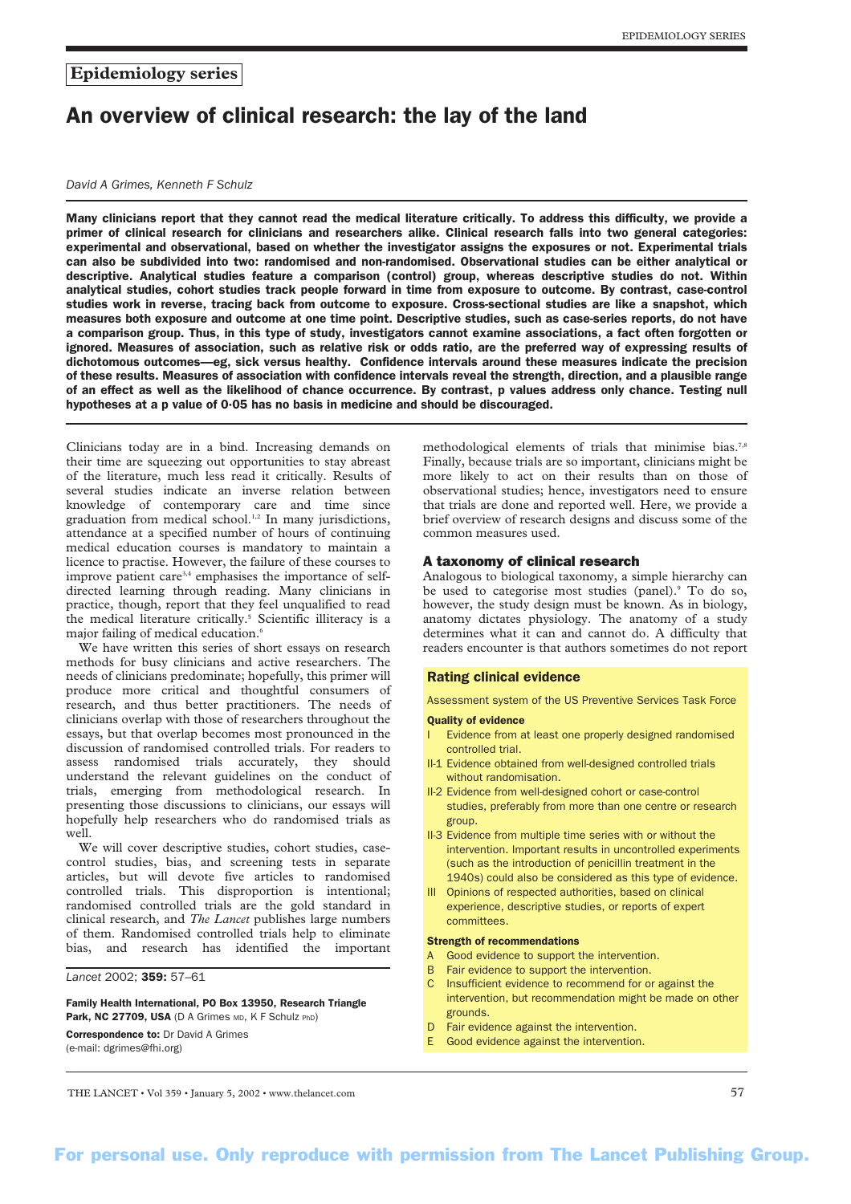# **Epidemiology series**

# An overview of clinical research: the lay of the land

# *David A Grimes, Kenneth F Schulz*

Many clinicians report that they cannot read the medical literature critically. To address this difficulty, we provide a primer of clinical research for clinicians and researchers alike. Clinical research falls into two general categories: experimental and observational, based on whether the investigator assigns the exposures or not. Experimental trials can also be subdivided into two: randomised and non-randomised. Observational studies can be either analytical or descriptive. Analytical studies feature a comparison (control) group, whereas descriptive studies do not. Within analytical studies, cohort studies track people forward in time from exposure to outcome. By contrast, case-control studies work in reverse, tracing back from outcome to exposure. Cross-sectional studies are like a snapshot, which measures both exposure and outcome at one time point. Descriptive studies, such as case-series reports, do not have a comparison group. Thus, in this type of study, investigators cannot examine associations, a fact often forgotten or ignored. Measures of association, such as relative risk or odds ratio, are the preferred way of expressing results of dichotomous outcomes—eg, sick versus healthy. Confidence intervals around these measures indicate the precision of these results. Measures of association with confidence intervals reveal the strength, direction, and a plausible range of an effect as well as the likelihood of chance occurrence. By contrast, p values address only chance. Testing null hypotheses at a p value of 0·05 has no basis in medicine and should be discouraged.

Clinicians today are in a bind. Increasing demands on their time are squeezing out opportunities to stay abreast of the literature, much less read it critically. Results of several studies indicate an inverse relation between knowledge of contemporary care and time since graduation from medical school.1,2 In many jurisdictions, attendance at a specified number of hours of continuing medical education courses is mandatory to maintain a licence to practise. However, the failure of these courses to improve patient care<sup>3,4</sup> emphasises the importance of selfdirected learning through reading. Many clinicians in practice, though, report that they feel unqualified to read the medical literature critically.<sup>5</sup> Scientific illiteracy is a major failing of medical education.<sup>6</sup>

We have written this series of short essays on research methods for busy clinicians and active researchers. The needs of clinicians predominate; hopefully, this primer will produce more critical and thoughtful consumers of research, and thus better practitioners. The needs of clinicians overlap with those of researchers throughout the essays, but that overlap becomes most pronounced in the discussion of randomised controlled trials. For readers to assess randomised trials accurately, they should understand the relevant guidelines on the conduct of trials, emerging from methodological research. In presenting those discussions to clinicians, our essays will hopefully help researchers who do randomised trials as well.

We will cover descriptive studies, cohort studies, casecontrol studies, bias, and screening tests in separate articles, but will devote five articles to randomised controlled trials. This disproportion is intentional; randomised controlled trials are the gold standard in clinical research, and *The Lancet* publishes large numbers of them. Randomised controlled trials help to eliminate bias, and research has identified the important

*Lancet* 2002; 359: 57–61

#### Family Health International, PO Box 13950, Research Triangle Park, NC 27709, USA (D A Grimes MD, K F Schulz PhD)

Correspondence to: Dr David A Grimes (e-mail: dgrimes@fhi.org)

methodological elements of trials that minimise bias.7,8 Finally, because trials are so important, clinicians might be more likely to act on their results than on those of observational studies; hence, investigators need to ensure that trials are done and reported well. Here, we provide a brief overview of research designs and discuss some of the common measures used.

# A taxonomy of clinical research

Analogous to biological taxonomy, a simple hierarchy can be used to categorise most studies (panel).<sup>9</sup> To do so, however, the study design must be known. As in biology, anatomy dictates physiology. The anatomy of a study determines what it can and cannot do. A difficulty that readers encounter is that authors sometimes do not report

# Rating clinical evidence

Assessment system of the US Preventive Services Task Force

#### Quality of evidence

- Evidence from at least one properly designed randomised controlled trial.
- II-1 Evidence obtained from well-designed controlled trials without randomisation.
- II-2 Evidence from well-designed cohort or case-control studies, preferably from more than one centre or research group.
- II-3 Evidence from multiple time series with or without the intervention. Important results in uncontrolled experiments (such as the introduction of penicillin treatment in the 1940s) could also be considered as this type of evidence.
- III Opinions of respected authorities, based on clinical experience, descriptive studies, or reports of expert committees.

#### Strength of recommendations

- A Good evidence to support the intervention.
- B Fair evidence to support the intervention.
- C Insufficient evidence to recommend for or against the intervention, but recommendation might be made on other grounds.
- D Fair evidence against the intervention.
- E Good evidence against the intervention.

THE LANCET • Vol 359 • January 5, 2002 • www.thelancet.com  $57$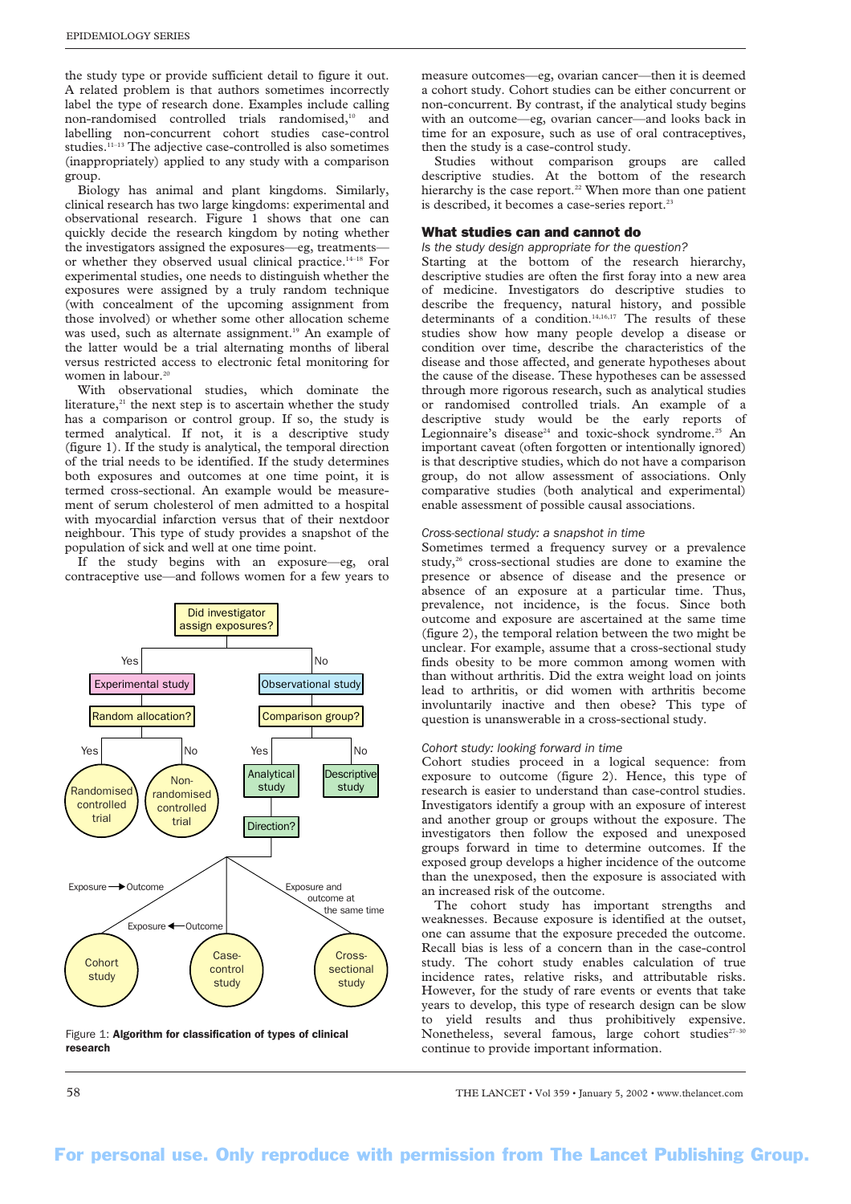the study type or provide sufficient detail to figure it out. A related problem is that authors sometimes incorrectly label the type of research done. Examples include calling non-randomised controlled trials randomised,10 and labelling non-concurrent cohort studies case-control studies.<sup>11-13</sup> The adjective case-controlled is also sometimes (inappropriately) applied to any study with a comparison group.

Biology has animal and plant kingdoms. Similarly, clinical research has two large kingdoms: experimental and observational research. Figure 1 shows that one can quickly decide the research kingdom by noting whether the investigators assigned the exposures—eg, treatments or whether they observed usual clinical practice.14–18 For experimental studies, one needs to distinguish whether the exposures were assigned by a truly random technique (with concealment of the upcoming assignment from those involved) or whether some other allocation scheme was used, such as alternate assignment.<sup>19</sup> An example of the latter would be a trial alternating months of liberal versus restricted access to electronic fetal monitoring for women in labour.<sup>20</sup>

With observational studies, which dominate the literature, $21$  the next step is to ascertain whether the study has a comparison or control group. If so, the study is termed analytical. If not, it is a descriptive study (figure 1). If the study is analytical, the temporal direction of the trial needs to be identified. If the study determines both exposures and outcomes at one time point, it is termed cross-sectional. An example would be measurement of serum cholesterol of men admitted to a hospital with myocardial infarction versus that of their nextdoor neighbour. This type of study provides a snapshot of the population of sick and well at one time point.

If the study begins with an exposure—eg, oral contraceptive use—and follows women for a few years to



Figure 1: Algorithm for classification of types of clinical research

measure outcomes—eg, ovarian cancer—then it is deemed a cohort study. Cohort studies can be either concurrent or non-concurrent. By contrast, if the analytical study begins with an outcome—eg, ovarian cancer—and looks back in time for an exposure, such as use of oral contraceptives, then the study is a case-control study.

Studies without comparison groups are called descriptive studies. At the bottom of the research hierarchy is the case report.<sup>22</sup> When more than one patient is described, it becomes a case-series report.<sup>23</sup>

# What studies can and cannot do

*Is the study design appropriate for the question?*

Starting at the bottom of the research hierarchy, descriptive studies are often the first foray into a new area of medicine. Investigators do descriptive studies to describe the frequency, natural history, and possible determinants of a condition.<sup>14,16,17</sup> The results of these studies show how many people develop a disease or condition over time, describe the characteristics of the disease and those affected, and generate hypotheses about the cause of the disease. These hypotheses can be assessed through more rigorous research, such as analytical studies or randomised controlled trials. An example of a descriptive study would be the early reports of Legionnaire's disease<sup>24</sup> and toxic-shock syndrome.<sup>25</sup> An important caveat (often forgotten or intentionally ignored) is that descriptive studies, which do not have a comparison group, do not allow assessment of associations. Only comparative studies (both analytical and experimental) enable assessment of possible causal associations.

#### *Cross-sectional study: a snapshot in time*

Sometimes termed a frequency survey or a prevalence study,<sup>26</sup> cross-sectional studies are done to examine the presence or absence of disease and the presence or absence of an exposure at a particular time. Thus, prevalence, not incidence, is the focus. Since both outcome and exposure are ascertained at the same time (figure 2), the temporal relation between the two might be unclear. For example, assume that a cross-sectional study finds obesity to be more common among women with than without arthritis. Did the extra weight load on joints lead to arthritis, or did women with arthritis become involuntarily inactive and then obese? This type of question is unanswerable in a cross-sectional study.

#### *Cohort study: looking forward in time*

Cohort studies proceed in a logical sequence: from exposure to outcome (figure 2). Hence, this type of research is easier to understand than case-control studies. Investigators identify a group with an exposure of interest and another group or groups without the exposure. The investigators then follow the exposed and unexposed groups forward in time to determine outcomes. If the exposed group develops a higher incidence of the outcome than the unexposed, then the exposure is associated with an increased risk of the outcome.

The cohort study has important strengths and weaknesses. Because exposure is identified at the outset, one can assume that the exposure preceded the outcome. Recall bias is less of a concern than in the case-control study. The cohort study enables calculation of true incidence rates, relative risks, and attributable risks. However, for the study of rare events or events that take years to develop, this type of research design can be slow to yield results and thus prohibitively expensive. Nonetheless, several famous, large cohort studies<sup>27-30</sup> continue to provide important information.

58 THE LANCET • Vol 359 • January 5, 2002 • www.thelancet.com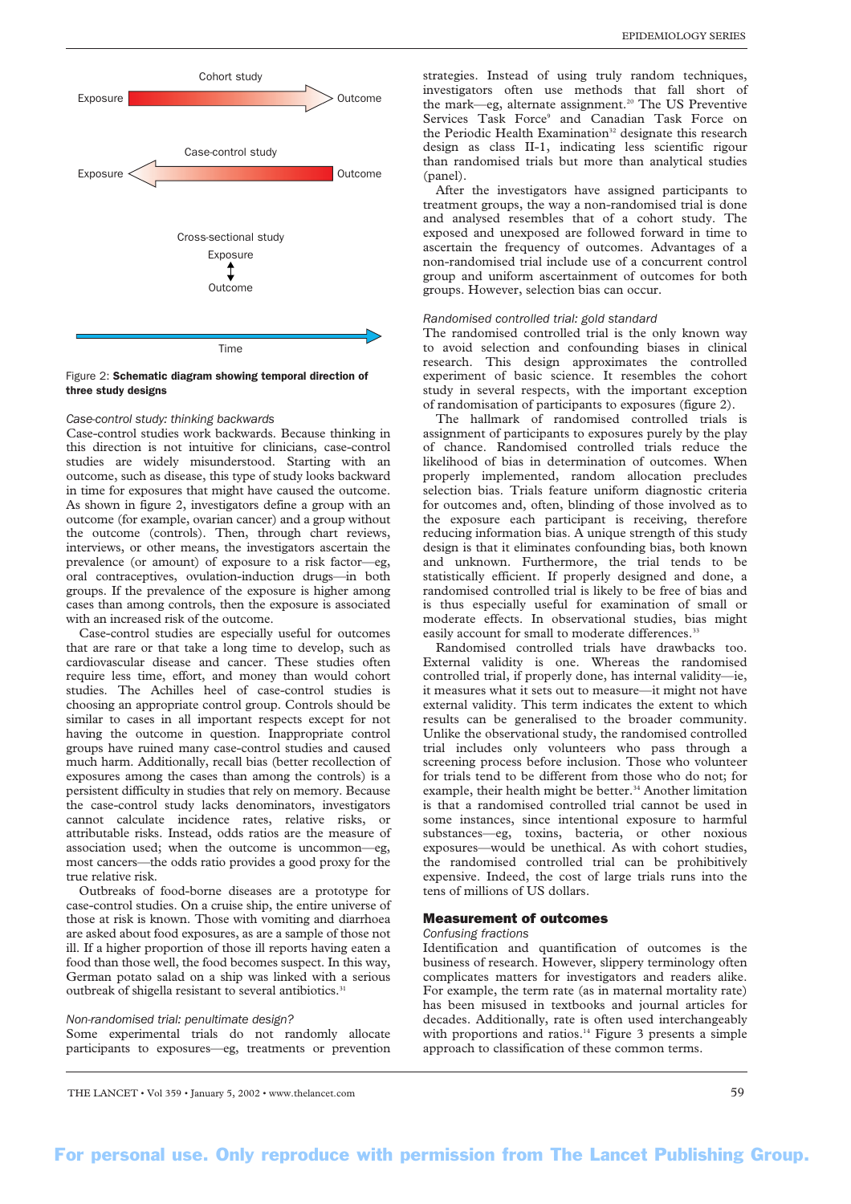

Figure 2: Schematic diagram showing temporal direction of three study designs

#### *Case-control study: thinking backwards*

Case-control studies work backwards. Because thinking in this direction is not intuitive for clinicians, case-control studies are widely misunderstood. Starting with an outcome, such as disease, this type of study looks backward in time for exposures that might have caused the outcome. As shown in figure 2, investigators define a group with an outcome (for example, ovarian cancer) and a group without the outcome (controls). Then, through chart reviews, interviews, or other means, the investigators ascertain the prevalence (or amount) of exposure to a risk factor—eg, oral contraceptives, ovulation-induction drugs—in both groups. If the prevalence of the exposure is higher among cases than among controls, then the exposure is associated with an increased risk of the outcome.

Case-control studies are especially useful for outcomes that are rare or that take a long time to develop, such as cardiovascular disease and cancer. These studies often require less time, effort, and money than would cohort studies. The Achilles heel of case-control studies is choosing an appropriate control group. Controls should be similar to cases in all important respects except for not having the outcome in question. Inappropriate control groups have ruined many case-control studies and caused much harm. Additionally, recall bias (better recollection of exposures among the cases than among the controls) is a persistent difficulty in studies that rely on memory. Because the case-control study lacks denominators, investigators cannot calculate incidence rates, relative risks, or attributable risks. Instead, odds ratios are the measure of association used; when the outcome is uncommon—eg, most cancers—the odds ratio provides a good proxy for the true relative risk.

Outbreaks of food-borne diseases are a prototype for case-control studies. On a cruise ship, the entire universe of those at risk is known. Those with vomiting and diarrhoea are asked about food exposures, as are a sample of those not ill. If a higher proportion of those ill reports having eaten a food than those well, the food becomes suspect. In this way, German potato salad on a ship was linked with a serious outbreak of shigella resistant to several antibiotics.<sup>31</sup>

#### *Non-randomised trial: penultimate design?*

Some experimental trials do not randomly allocate participants to exposures—eg, treatments or prevention strategies. Instead of using truly random techniques, investigators often use methods that fall short of the mark—eg, alternate assignment.20 The US Preventive Services Task Force<sup>9</sup> and Canadian Task Force on the Periodic Health Examination<sup>32</sup> designate this research design as class II-1, indicating less scientific rigour than randomised trials but more than analytical studies (panel).

After the investigators have assigned participants to treatment groups, the way a non-randomised trial is done and analysed resembles that of a cohort study. The exposed and unexposed are followed forward in time to ascertain the frequency of outcomes. Advantages of a non-randomised trial include use of a concurrent control group and uniform ascertainment of outcomes for both groups. However, selection bias can occur.

# *Randomised controlled trial: gold standard*

The randomised controlled trial is the only known way to avoid selection and confounding biases in clinical research. This design approximates the controlled experiment of basic science. It resembles the cohort study in several respects, with the important exception of randomisation of participants to exposures (figure 2).

The hallmark of randomised controlled trials is assignment of participants to exposures purely by the play of chance. Randomised controlled trials reduce the likelihood of bias in determination of outcomes. When properly implemented, random allocation precludes selection bias. Trials feature uniform diagnostic criteria for outcomes and, often, blinding of those involved as to the exposure each participant is receiving, therefore reducing information bias. A unique strength of this study design is that it eliminates confounding bias, both known and unknown. Furthermore, the trial tends to be statistically efficient. If properly designed and done, a randomised controlled trial is likely to be free of bias and is thus especially useful for examination of small or moderate effects. In observational studies, bias might easily account for small to moderate differences.<sup>33</sup>

Randomised controlled trials have drawbacks too. External validity is one. Whereas the randomised controlled trial, if properly done, has internal validity—ie, it measures what it sets out to measure—it might not have external validity. This term indicates the extent to which results can be generalised to the broader community. Unlike the observational study, the randomised controlled trial includes only volunteers who pass through a screening process before inclusion. Those who volunteer for trials tend to be different from those who do not; for example, their health might be better.<sup>34</sup> Another limitation is that a randomised controlled trial cannot be used in some instances, since intentional exposure to harmful substances—eg, toxins, bacteria, or other noxious exposures—would be unethical. As with cohort studies, the randomised controlled trial can be prohibitively expensive. Indeed, the cost of large trials runs into the tens of millions of US dollars.

# Measurement of outcomes

# *Confusing fractions*

Identification and quantification of outcomes is the business of research. However, slippery terminology often complicates matters for investigators and readers alike. For example, the term rate (as in maternal mortality rate) has been misused in textbooks and journal articles for decades. Additionally, rate is often used interchangeably with proportions and ratios.<sup>14</sup> Figure 3 presents a simple approach to classification of these common terms.

THE LANCET • Vol 359 • January 5, 2002 • www.thelancet.com 59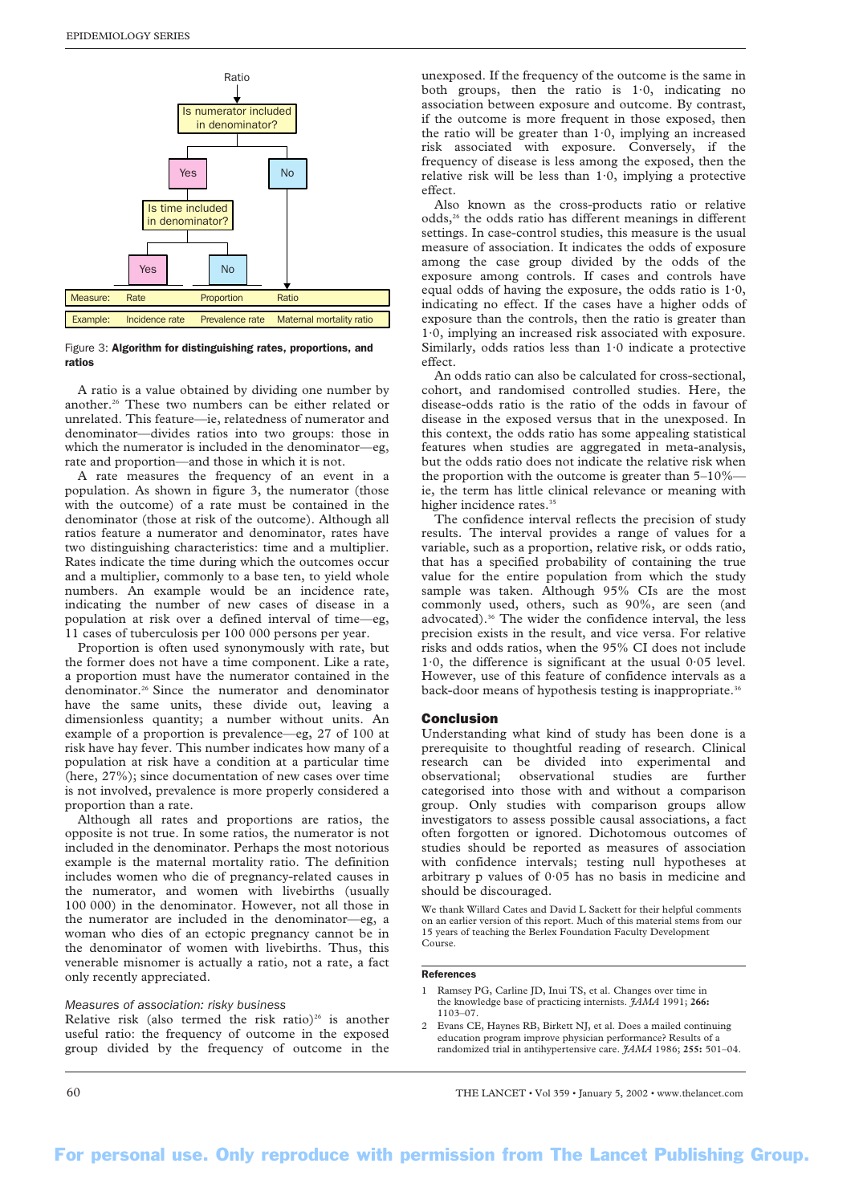

# Figure 3: Algorithm for distinguishing rates, proportions, and ratios

A ratio is a value obtained by dividing one number by another.<sup>26</sup> These two numbers can be either related or unrelated. This feature—ie, relatedness of numerator and denominator—divides ratios into two groups: those in which the numerator is included in the denominator—eg, rate and proportion—and those in which it is not.

A rate measures the frequency of an event in a population. As shown in figure 3, the numerator (those with the outcome) of a rate must be contained in the denominator (those at risk of the outcome). Although all ratios feature a numerator and denominator, rates have two distinguishing characteristics: time and a multiplier. Rates indicate the time during which the outcomes occur and a multiplier, commonly to a base ten, to yield whole numbers. An example would be an incidence rate, indicating the number of new cases of disease in a population at risk over a defined interval of time—eg, 11 cases of tuberculosis per 100 000 persons per year.

Proportion is often used synonymously with rate, but the former does not have a time component. Like a rate, a proportion must have the numerator contained in the denominator.26 Since the numerator and denominator have the same units, these divide out, leaving a dimensionless quantity; a number without units. An example of a proportion is prevalence—eg, 27 of 100 at risk have hay fever. This number indicates how many of a population at risk have a condition at a particular time (here, 27%); since documentation of new cases over time is not involved, prevalence is more properly considered a proportion than a rate.

Although all rates and proportions are ratios, the opposite is not true. In some ratios, the numerator is not included in the denominator. Perhaps the most notorious example is the maternal mortality ratio. The definition includes women who die of pregnancy-related causes in the numerator, and women with livebirths (usually 100 000) in the denominator. However, not all those in the numerator are included in the denominator—eg, a woman who dies of an ectopic pregnancy cannot be in the denominator of women with livebirths. Thus, this venerable misnomer is actually a ratio, not a rate, a fact only recently appreciated.

#### *Measures of association: risky business*

Relative risk (also termed the risk ratio)<sup>26</sup> is another useful ratio: the frequency of outcome in the exposed group divided by the frequency of outcome in the unexposed. If the frequency of the outcome is the same in both groups, then the ratio is  $1.0$ , indicating no association between exposure and outcome. By contrast, if the outcome is more frequent in those exposed, then the ratio will be greater than  $1.0$ , implying an increased risk associated with exposure. Conversely, if the frequency of disease is less among the exposed, then the relative risk will be less than  $1.0$ , implying a protective effect.

Also known as the cross-products ratio or relative odds,<sup>26</sup> the odds ratio has different meanings in different settings. In case-control studies, this measure is the usual measure of association. It indicates the odds of exposure among the case group divided by the odds of the exposure among controls. If cases and controls have equal odds of having the exposure, the odds ratio is  $1.0$ , indicating no effect. If the cases have a higher odds of exposure than the controls, then the ratio is greater than 1·0, implying an increased risk associated with exposure. Similarly, odds ratios less than 1·0 indicate a protective effect.

An odds ratio can also be calculated for cross-sectional, cohort, and randomised controlled studies. Here, the disease-odds ratio is the ratio of the odds in favour of disease in the exposed versus that in the unexposed. In this context, the odds ratio has some appealing statistical features when studies are aggregated in meta-analysis, but the odds ratio does not indicate the relative risk when the proportion with the outcome is greater than  $5-10\%$ ie, the term has little clinical relevance or meaning with higher incidence rates.<sup>35</sup>

The confidence interval reflects the precision of study results. The interval provides a range of values for a variable, such as a proportion, relative risk, or odds ratio, that has a specified probability of containing the true value for the entire population from which the study sample was taken. Although 95% CIs are the most commonly used, others, such as 90%, are seen (and advocated).36 The wider the confidence interval, the less precision exists in the result, and vice versa. For relative risks and odds ratios, when the 95% CI does not include 1·0, the difference is significant at the usual 0·05 level. However, use of this feature of confidence intervals as a back-door means of hypothesis testing is inappropriate.<sup>36</sup>

## Conclusion

Understanding what kind of study has been done is a prerequisite to thoughtful reading of research. Clinical research can be divided into experimental and observational; observational studies are further categorised into those with and without a comparison group. Only studies with comparison groups allow investigators to assess possible causal associations, a fact often forgotten or ignored. Dichotomous outcomes of studies should be reported as measures of association with confidence intervals; testing null hypotheses at arbitrary p values of  $0.05$  has no basis in medicine and should be discouraged.

We thank Willard Cates and David L Sackett for their helpful comments on an earlier version of this report. Much of this material stems from our 15 years of teaching the Berlex Foundation Faculty Development Course.

#### References

- 1 Ramsey PG, Carline JD, Inui TS, et al. Changes over time in the knowledge base of practicing internists. *JAMA* 1991; **266:** 1103–07.
- 2 Evans CE, Haynes RB, Birkett NJ, et al. Does a mailed continuing education program improve physician performance? Results of a randomized trial in antihypertensive care. *JAMA* 1986; **255:** 501–04.